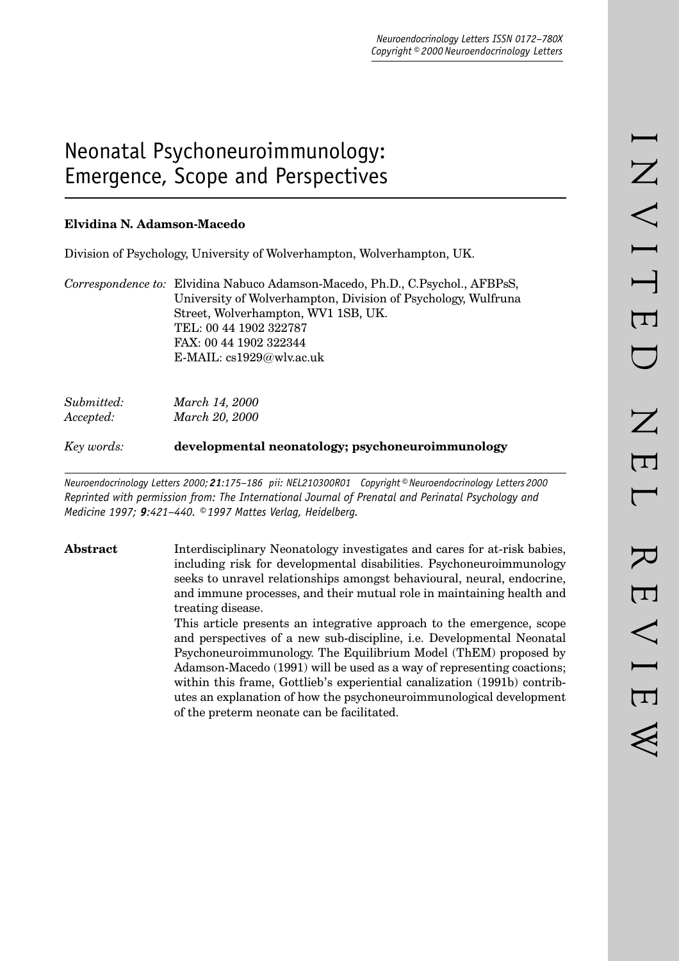# Neonatal Psychoneuroimmunology: Emergence, Scope and Perspectives

## **Elvidina N. Adamson-Macedo**

Division of Psychology, University of Wolverhampton, Wolverhampton, UK.

*Correspondence to:* Elvidina Nabuco Adamson-Macedo, Ph.D., C.Psychol., AFBPsS, University of Wolverhampton, Division of Psychology, Wulfruna Street, Wolverhampton, WV1 1SB, UK. TEL: 00 44 1902 322787 FAX: 00 44 1902 322344 E-MAIL: cs1929@wlv.ac.uk

| Submitted: | March 14, 2000 |
|------------|----------------|
| Accepted:  | March 20, 2000 |

*Key words:* **developmental neonatology; psychoneuroimmunology**

*Neuroendocrinology Letters 2000; 21:175–186 pii: NEL210300R01 Copyright © Neuroendocrinology Letters 2000 Reprinted with permission from: The International Journal of Prenatal and Perinatal Psychology and Medicine 1997; 9:421–440. © 1997 Mattes Verlag, Heidelberg.*

**Abstract** Interdisciplinary Neonatology investigates and cares for at-risk babies, including risk for developmental disabilities. Psychoneuroimmunology seeks to unravel relationships amongst behavioural, neural, endocrine, and immune processes, and their mutual role in maintaining health and treating disease.

> This article presents an integrative approach to the emergence, scope and perspectives of a new sub-discipline, i.e. Developmental Neonatal Psychoneuroimmunology. The Equilibrium Model (ThEM) proposed by Adamson-Macedo (1991) will be used as a way of representing coactions; within this frame, Gottlieb's experiential canalization (1991b) contributes an explanation of how the psychoneuroimmunological development of the preterm neonate can be facilitated.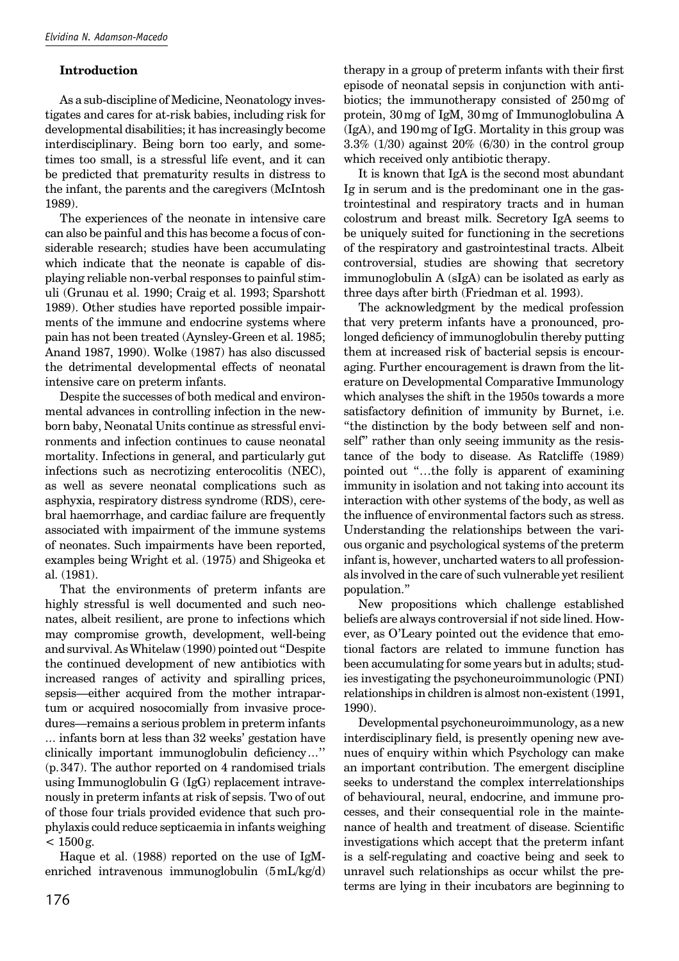## **Introduction**

As a sub-discipline of Medicine, Neonatology investigates and cares for at-risk babies, including risk for developmental disabilities; it has increasingly become interdisciplinary. Being born too early, and sometimes too small, is a stressful life event, and it can be predicted that prematurity results in distress to the infant, the parents and the caregivers (McIntosh 1989).

The experiences of the neonate in intensive care can also be painful and this has become a focus of considerable research; studies have been accumulating which indicate that the neonate is capable of displaying reliable non-verbal responses to painful stimuli (Grunau et al. 1990; Craig et al. 1993; Sparshott 1989). Other studies have reported possible impairments of the immune and endocrine systems where pain has not been treated (Aynsley-Green et al. 1985; Anand 1987, 1990). Wolke (1987) has also discussed the detrimental developmental effects of neonatal intensive care on preterm infants.

Despite the successes of both medical and environmental advances in controlling infection in the newborn baby, Neonatal Units continue as stressful environments and infection continues to cause neonatal mortality. Infections in general, and particularly gut infections such as necrotizing enterocolitis (NEC), as well as severe neonatal complications such as asphyxia, respiratory distress syndrome (RDS), cerebral haemorrhage, and cardiac failure are frequently associated with impairment of the immune systems of neonates. Such impairments have been reported, examples being Wright et al. (1975) and Shigeoka et al. (1981).

That the environments of preterm infants are highly stressful is well documented and such neonates, albeit resilient, are prone to infections which may compromise growth, development, well-being and survival. As Whitelaw (1990) pointed out "Despite the continued development of new antibiotics with increased ranges of activity and spiralling prices, sepsis—either acquired from the mother intrapartum or acquired nosocomially from invasive procedures—remains a serious problem in preterm infants … infants born at less than 32 weeks' gestation have clinically important immunoglobulin deficiency..." (p. 347). The author reported on 4 randomised trials using Immunoglobulin G (IgG) replacement intravenously in preterm infants at risk of sepsis. Two of out of those four trials provided evidence that such prophylaxis could reduce septicaemia in infants weighing  $< 1500 g$ .

Haque et al. (1988) reported on the use of IgMenriched intravenous immunoglobulin (5 mL/kg/d) therapy in a group of preterm infants with their first episode of neonatal sepsis in conjunction with antibiotics; the immunotherapy consisted of 250 mg of protein, 30 mg of IgM, 30 mg of Immunoglobulina A (IgA), and 190 mg of IgG. Mortality in this group was  $3.3\%$  (1/30) against  $20\%$  (6/30) in the control group which received only antibiotic therapy.

It is known that IgA is the second most abundant Ig in serum and is the predominant one in the gastrointestinal and respiratory tracts and in human colostrum and breast milk. Secretory IgA seems to be uniquely suited for functioning in the secretions of the respiratory and gastrointestinal tracts. Albeit controversial, studies are showing that secretory immunoglobulin A (sIgA) can be isolated as early as three days after birth (Friedman et al. 1993).

The acknowledgment by the medical profession that very preterm infants have a pronounced, prolonged deficiency of immunoglobulin thereby putting them at increased risk of bacterial sepsis is encouraging. Further encouragement is drawn from the literature on Developmental Comparative Immunology which analyses the shift in the 1950s towards a more satisfactory definition of immunity by Burnet, i.e. "the distinction by the body between self and nonself" rather than only seeing immunity as the resistance of the body to disease. As Ratcliffe (1989) pointed out "…the folly is apparent of examining immunity in isolation and not taking into account its interaction with other systems of the body, as well as the influence of environmental factors such as stress. Understanding the relationships between the various organic and psychological systems of the preterm infant is, however, uncharted waters to all professionals involved in the care of such vulnerable yet resilient population."

New propositions which challenge established beliefs are always controversial if not side lined. However, as O'Leary pointed out the evidence that emotional factors are related to immune function has been accumulating for some years but in adults; studies investigating the psychoneuroimmunologic (PNI) relationships in children is almost non-existent (1991, 1990).

Developmental psychoneuroimmunology, as a new interdisciplinary field, is presently opening new avenues of enquiry within which Psychology can make an important contribution. The emergent discipline seeks to understand the complex interrelationships of behavioural, neural, endocrine, and immune processes, and their consequential role in the maintenance of health and treatment of disease. Scientific investigations which accept that the preterm infant is a self-regulating and coactive being and seek to unravel such relationships as occur whilst the preterms are lying in their incubators are beginning to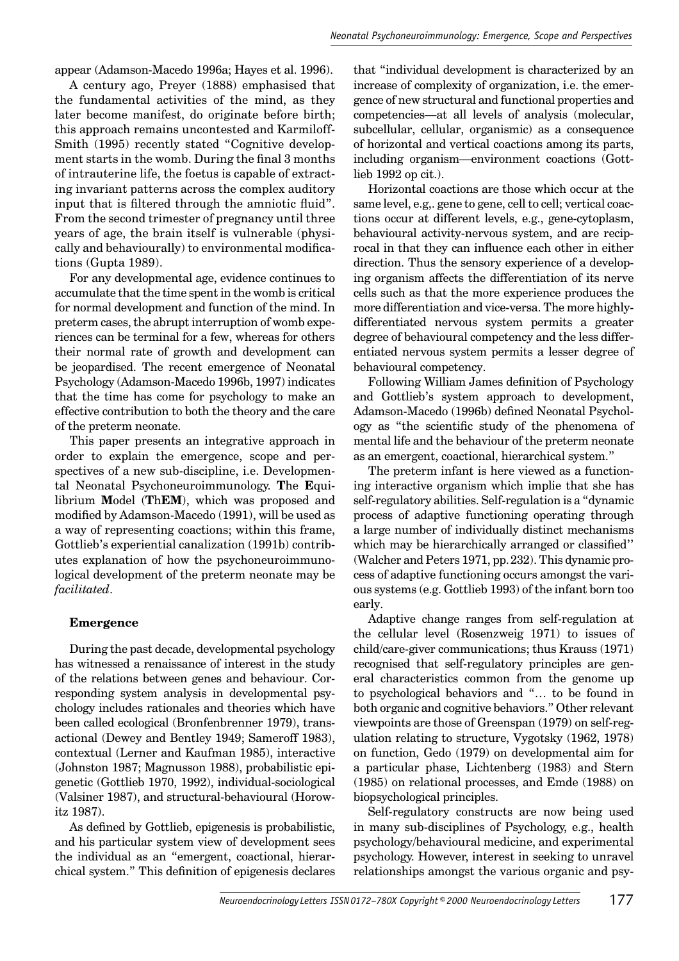appear (Adamson-Macedo 1996a; Hayes et al. 1996).

A century ago, Preyer (1888) emphasised that the fundamental activities of the mind, as they later become manifest, do originate before birth; this approach remains uncontested and Karmiloff-Smith (1995) recently stated "Cognitive development starts in the womb. During the final 3 months of intrauterine life, the foetus is capable of extracting invariant patterns across the complex auditory input that is filtered through the amniotic fluid". From the second trimester of pregnancy until three years of age, the brain itself is vulnerable (physically and behaviourally) to environmental modifications (Gupta 1989).

For any developmental age, evidence continues to accumulate that the time spent in the womb is critical for normal development and function of the mind. In preterm cases, the abrupt interruption of womb experiences can be terminal for a few, whereas for others their normal rate of growth and development can be jeopardised. The recent emergence of Neonatal Psychology (Adamson-Macedo 1996b, 1997) indicates that the time has come for psychology to make an effective contribution to both the theory and the care of the preterm neonate.

This paper presents an integrative approach in order to explain the emergence, scope and perspectives of a new sub-discipline, i.e. Developmental Neonatal Psychoneuroimmunology. **T**he **E**quilibrium **M**odel (**T**h**EM**), which was proposed and modified by Adamson-Macedo (1991), will be used as a way of representing coactions; within this frame, Gottlieb's experiential canalization (1991b) contributes explanation of how the psychoneuroimmunological development of the preterm neonate may be *facilitated*.

#### **Emergence**

During the past decade, developmental psychology has witnessed a renaissance of interest in the study of the relations between genes and behaviour. Corresponding system analysis in developmental psychology includes rationales and theories which have been called ecological (Bronfenbrenner 1979), transactional (Dewey and Bentley 1949; Sameroff 1983), contextual (Lerner and Kaufman 1985), interactive (Johnston 1987; Magnusson 1988), probabilistic epigenetic (Gottlieb 1970, 1992), individual-sociological (Valsiner 1987), and structural-behavioural (Horowitz 1987).

As defined by Gottlieb, epigenesis is probabilistic, and his particular system view of development sees the individual as an "emergent, coactional, hierarchical system." This definition of epigenesis declares that "individual development is characterized by an increase of complexity of organization, i.e. the emergence of new structural and functional properties and competencies—at all levels of analysis (molecular, subcellular, cellular, organismic) as a consequence of horizontal and vertical coactions among its parts, including organism—environment coactions (Gottlieb 1992 op cit.).

Horizontal coactions are those which occur at the same level, e.g,. gene to gene, cell to cell; vertical coactions occur at different levels, e.g., gene-cytoplasm, behavioural activity-nervous system, and are reciprocal in that they can influence each other in either direction. Thus the sensory experience of a developing organism affects the differentiation of its nerve cells such as that the more experience produces the more differentiation and vice-versa. The more highlydifferentiated nervous system permits a greater degree of behavioural competency and the less differentiated nervous system permits a lesser degree of behavioural competency.

Following William James definition of Psychology and Gottlieb's system approach to development, Adamson-Macedo (1996b) defined Neonatal Psychology as "the scientific study of the phenomena of mental life and the behaviour of the preterm neonate as an emergent, coactional, hierarchical system."

The preterm infant is here viewed as a functioning interactive organism which implie that she has self-regulatory abilities. Self-regulation is a "dynamic process of adaptive functioning operating through a large number of individually distinct mechanisms which may be hierarchically arranged or classified" (Walcher and Peters 1971, pp. 232). This dynamic process of adaptive functioning occurs amongst the various systems (e.g. Gottlieb 1993) of the infant born too early.

Adaptive change ranges from self-regulation at the cellular level (Rosenzweig 1971) to issues of child/care-giver communications; thus Krauss (1971) recognised that self-regulatory principles are general characteristics common from the genome up to psychological behaviors and "… to be found in both organic and cognitive behaviors." Other relevant viewpoints are those of Greenspan (1979) on self-regulation relating to structure, Vygotsky (1962, 1978) on function, Gedo (1979) on developmental aim for a particular phase, Lichtenberg (1983) and Stern (1985) on relational processes, and Emde (1988) on biopsychological principles.

Self-regulatory constructs are now being used in many sub-disciplines of Psychology, e.g., health psychology/behavioural medicine, and experimental psychology. However, interest in seeking to unravel relationships amongst the various organic and psy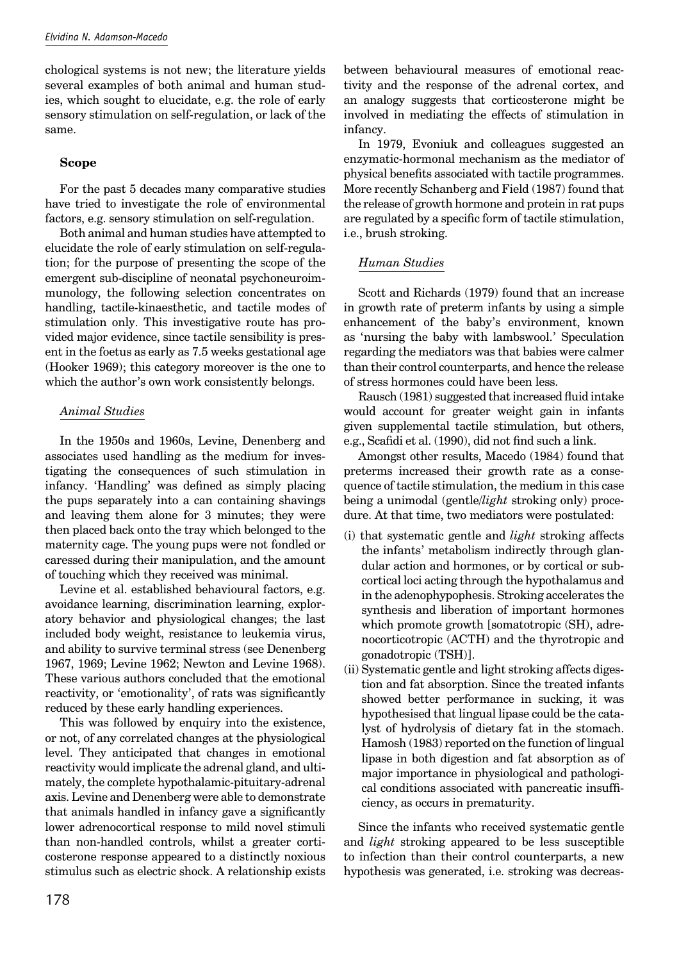chological systems is not new; the literature yields several examples of both animal and human studies, which sought to elucidate, e.g. the role of early sensory stimulation on self-regulation, or lack of the same.

## **Scope**

For the past 5 decades many comparative studies have tried to investigate the role of environmental factors, e.g. sensory stimulation on self-regulation.

Both animal and human studies have attempted to elucidate the role of early stimulation on self-regulation; for the purpose of presenting the scope of the emergent sub-discipline of neonatal psychoneuroimmunology, the following selection concentrates on handling, tactile-kinaesthetic, and tactile modes of stimulation only. This investigative route has provided major evidence, since tactile sensibility is present in the foetus as early as 7.5 weeks gestational age (Hooker 1969); this category moreover is the one to which the author's own work consistently belongs.

## *Animal Studies*

In the 1950s and 1960s, Levine, Denenberg and associates used handling as the medium for investigating the consequences of such stimulation in infancy. 'Handling' was defined as simply placing the pups separately into a can containing shavings and leaving them alone for 3 minutes; they were then placed back onto the tray which belonged to the maternity cage. The young pups were not fondled or caressed during their manipulation, and the amount of touching which they received was minimal.

Levine et al. established behavioural factors, e.g. avoidance learning, discrimination learning, exploratory behavior and physiological changes; the last included body weight, resistance to leukemia virus, and ability to survive terminal stress (see Denenberg 1967, 1969; Levine 1962; Newton and Levine 1968). These various authors concluded that the emotional reactivity, or 'emotionality', of rats was significantly reduced by these early handling experiences.

This was followed by enquiry into the existence, or not, of any correlated changes at the physiological level. They anticipated that changes in emotional reactivity would implicate the adrenal gland, and ultimately, the complete hypothalamic-pituitary-adrenal axis. Levine and Denenberg were able to demonstrate that animals handled in infancy gave a significantly lower adrenocortical response to mild novel stimuli than non-handled controls, whilst a greater corticosterone response appeared to a distinctly noxious stimulus such as electric shock. A relationship exists between behavioural measures of emotional reactivity and the response of the adrenal cortex, and an analogy suggests that corticosterone might be involved in mediating the effects of stimulation in infancy.

In 1979, Evoniuk and colleagues suggested an enzymatic-hormonal mechanism as the mediator of physical benefits associated with tactile programmes. More recently Schanberg and Field (1987) found that the release of growth hormone and protein in rat pups are regulated by a specific form of tactile stimulation, i.e., brush stroking.

# *Human Studies*

Scott and Richards (1979) found that an increase in growth rate of preterm infants by using a simple enhancement of the baby's environment, known as 'nursing the baby with lambswool.' Speculation regarding the mediators was that babies were calmer than their control counterparts, and hence the release of stress hormones could have been less.

Rausch (1981) suggested that increased fluid intake would account for greater weight gain in infants given supplemental tactile stimulation, but others, e.g., Scafidi et al. (1990), did not find such a link.

Amongst other results, Macedo (1984) found that preterms increased their growth rate as a consequence of tactile stimulation, the medium in this case being a unimodal (gentle/*light* stroking only) procedure. At that time, two mediators were postulated:

- (i) that systematic gentle and *light* stroking affects the infants' metabolism indirectly through glandular action and hormones, or by cortical or subcortical loci acting through the hypothalamus and in the adenophypophesis. Stroking accelerates the synthesis and liberation of important hormones which promote growth [somatotropic (SH), adrenocorticotropic (ACTH) and the thyrotropic and gonadotropic (TSH)].
- (ii) Systematic gentle and light stroking affects digestion and fat absorption. Since the treated infants showed better performance in sucking, it was hypothesised that lingual lipase could be the catalyst of hydrolysis of dietary fat in the stomach. Hamosh (1983) reported on the function of lingual lipase in both digestion and fat absorption as of major importance in physiological and pathological conditions associated with pancreatic insufficiency, as occurs in prematurity.

Since the infants who received systematic gentle and *light* stroking appeared to be less susceptible to infection than their control counterparts, a new hypothesis was generated, i.e. stroking was decreas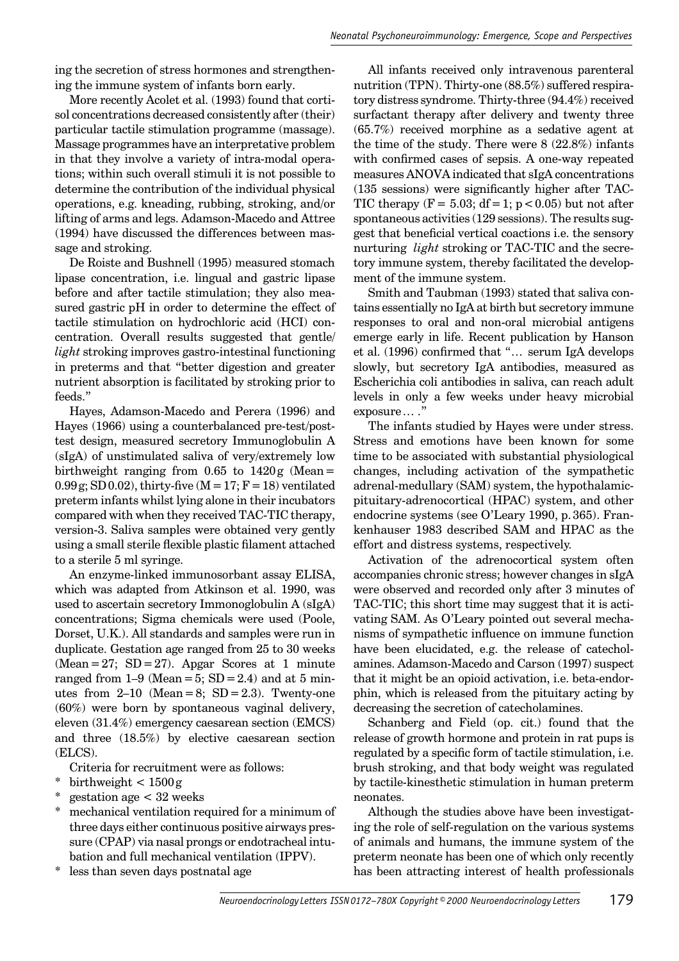ing the secretion of stress hormones and strengthening the immune system of infants born early.

More recently Acolet et al. (1993) found that cortisol concentrations decreased consistently after (their) particular tactile stimulation programme (massage). Massage programmes have an interpretative problem in that they involve a variety of intra-modal operations; within such overall stimuli it is not possible to determine the contribution of the individual physical operations, e.g. kneading, rubbing, stroking, and/or lifting of arms and legs. Adamson-Macedo and Attree (1994) have discussed the differences between massage and stroking.

De Roiste and Bushnell (1995) measured stomach lipase concentration, i.e. lingual and gastric lipase before and after tactile stimulation; they also measured gastric pH in order to determine the effect of tactile stimulation on hydrochloric acid (HCI) concentration. Overall results suggested that gentle/ *light* stroking improves gastro-intestinal functioning in preterms and that "better digestion and greater nutrient absorption is facilitated by stroking prior to feeds."

Hayes, Adamson-Macedo and Perera (1996) and Hayes (1966) using a counterbalanced pre-test/posttest design, measured secretory Immunoglobulin A (sIgA) of unstimulated saliva of very/extremely low birthweight ranging from  $0.65$  to  $1420g$  (Mean = 0.99 g; SD 0.02), thirty-five  $(M = 17; F = 18)$  ventilated preterm infants whilst lying alone in their incubators compared with when they received TAC-TIC therapy, version-3. Saliva samples were obtained very gently using a small sterile flexible plastic filament attached to a sterile 5 ml syringe.

An enzyme-linked immunosorbant assay ELISA, which was adapted from Atkinson et al. 1990, was used to ascertain secretory Immonoglobulin A (sIgA) concentrations; Sigma chemicals were used (Poole, Dorset, U.K.). All standards and samples were run in duplicate. Gestation age ranged from 25 to 30 weeks  $(Mean = 27; SD = 27)$ . Apgar Scores at 1 minute ranged from  $1-9$  (Mean = 5; SD = 2.4) and at 5 minutes from  $2-10$  (Mean = 8; SD = 2.3). Twenty-one (60%) were born by spontaneous vaginal delivery, eleven (31.4%) emergency caesarean section (EMCS) and three (18.5%) by elective caesarean section (ELCS).

Criteria for recruitment were as follows:

- \* birthweight  $< 1500 g$
- \* gestation age < 32 weeks
- mechanical ventilation required for a minimum of three days either continuous positive airways pressure (CPAP) via nasal prongs or endotracheal intubation and full mechanical ventilation (IPPV).
- less than seven days postnatal age

All infants received only intravenous parenteral nutrition (TPN). Thirty-one (88.5%) suffered respiratory distress syndrome. Thirty-three (94.4%) received surfactant therapy after delivery and twenty three (65.7%) received morphine as a sedative agent at the time of the study. There were 8 (22.8%) infants with confirmed cases of sepsis. A one-way repeated measures ANOVA indicated that sIgA concentrations  $(135$  sessions) were significantly higher after TAC-TIC therapy  $(F = 5.03; df = 1; p < 0.05)$  but not after spontaneous activities (129 sessions). The results suggest that beneficial vertical coactions i.e. the sensory nurturing *light* stroking or TAC-TIC and the secretory immune system, thereby facilitated the development of the immune system.

Smith and Taubman (1993) stated that saliva contains essentially no IgA at birth but secretory immune responses to oral and non-oral microbial antigens emerge early in life. Recent publication by Hanson et al. (1996) confirmed that "... serum IgA develops slowly, but secretory IgA antibodies, measured as Escherichia coli antibodies in saliva, can reach adult levels in only a few weeks under heavy microbial exposure … ."

The infants studied by Hayes were under stress. Stress and emotions have been known for some time to be associated with substantial physiological changes, including activation of the sympathetic adrenal-medullary (SAM) system, the hypothalamicpituitary-adrenocortical (HPAC) system, and other endocrine systems (see O'Leary 1990, p. 365). Frankenhauser 1983 described SAM and HPAC as the effort and distress systems, respectively.

Activation of the adrenocortical system often accompanies chronic stress; however changes in sIgA were observed and recorded only after 3 minutes of TAC-TIC; this short time may suggest that it is activating SAM. As O'Leary pointed out several mechanisms of sympathetic influence on immune function have been elucidated, e.g. the release of catecholamines. Adamson-Macedo and Carson (1997) suspect that it might be an opioid activation, i.e. beta-endorphin, which is released from the pituitary acting by decreasing the secretion of catecholamines.

Schanberg and Field (op. cit.) found that the release of growth hormone and protein in rat pups is regulated by a specific form of tactile stimulation, i.e. brush stroking, and that body weight was regulated by tactile-kinesthetic stimulation in human preterm neonates.

Although the studies above have been investigating the role of self-regulation on the various systems of animals and humans, the immune system of the preterm neonate has been one of which only recently has been attracting interest of health professionals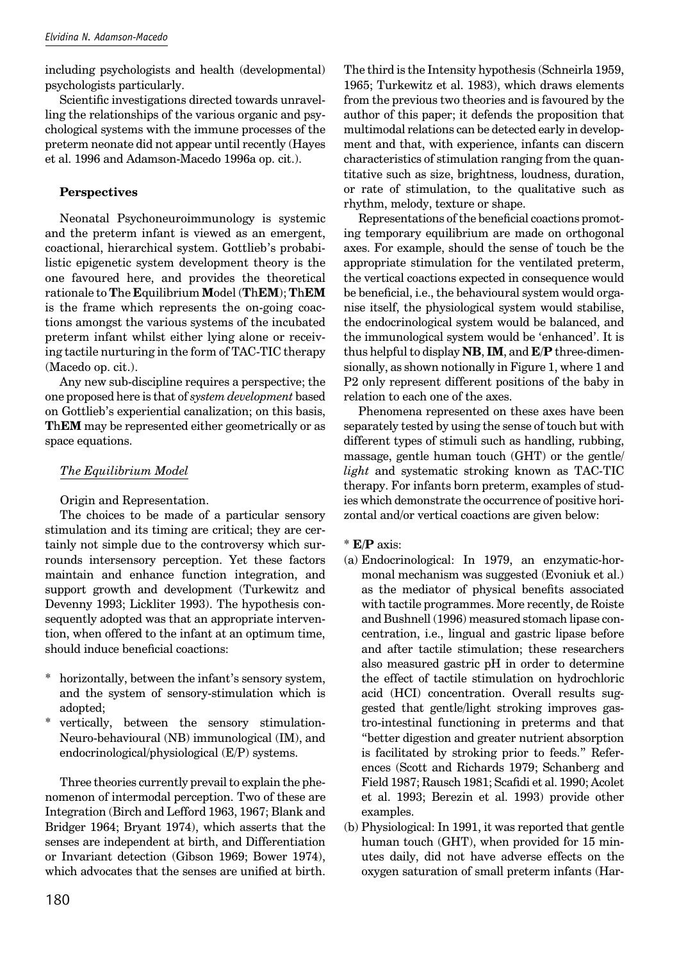including psychologists and health (developmental) psychologists particularly.

Scientific investigations directed towards unravelling the relationships of the various organic and psychological systems with the immune processes of the preterm neonate did not appear until recently (Hayes et al. 1996 and Adamson-Macedo 1996a op. cit.).

# **Perspectives**

Neonatal Psychoneuroimmunology is systemic and the preterm infant is viewed as an emergent, coactional, hierarchical system. Gottlieb's probabilistic epigenetic system development theory is the one favoured here, and provides the theoretical rationale to **T**he **E**quilibrium **M**odel (**T**h**EM**); **T**h**EM** is the frame which represents the on-going coactions amongst the various systems of the incubated preterm infant whilst either lying alone or receiving tactile nurturing in the form of TAC-TIC therapy (Macedo op. cit.).

Any new sub-discipline requires a perspective; the one proposed here is that of *system development* based on Gottlieb's experiential canalization; on this basis, **T**h**EM** may be represented either geometrically or as space equations.

## *The Equilibrium Model*

Origin and Representation.

The choices to be made of a particular sensory stimulation and its timing are critical; they are certainly not simple due to the controversy which surrounds intersensory perception. Yet these factors maintain and enhance function integration, and support growth and development (Turkewitz and Devenny 1993; Lickliter 1993). The hypothesis consequently adopted was that an appropriate intervention, when offered to the infant at an optimum time, should induce beneficial coactions:

- horizontally, between the infant's sensory system, and the system of sensory-stimulation which is adopted;
- vertically, between the sensory stimulation-Neuro-behavioural (NB) immunological (IM), and endocrinological/physiological (E/P) systems.

Three theories currently prevail to explain the phenomenon of intermodal perception. Two of these are Integration (Birch and Lefford 1963, 1967; Blank and Bridger 1964; Bryant 1974), which asserts that the senses are independent at birth, and Differentiation or Invariant detection (Gibson 1969; Bower 1974), which advocates that the senses are unified at birth. The third is the Intensity hypothesis (Schneirla 1959, 1965; Turkewitz et al. 1983), which draws elements from the previous two theories and is favoured by the author of this paper; it defends the proposition that multimodal relations can be detected early in development and that, with experience, infants can discern characteristics of stimulation ranging from the quantitative such as size, brightness, loudness, duration, or rate of stimulation, to the qualitative such as rhythm, melody, texture or shape.

Representations of the beneficial coactions promoting temporary equilibrium are made on orthogonal axes. For example, should the sense of touch be the appropriate stimulation for the ventilated preterm, the vertical coactions expected in consequence would be beneficial, i.e., the behavioural system would organise itself, the physiological system would stabilise, the endocrinological system would be balanced, and the immunological system would be 'enhanced'. It is thus helpful to display **NB**, **IM**, and **E**/**P** three-dimensionally, as shown notionally in Figure 1, where 1 and P2 only represent different positions of the baby in relation to each one of the axes.

Phenomena represented on these axes have been separately tested by using the sense of touch but with different types of stimuli such as handling, rubbing, massage, gentle human touch (GHT) or the gentle/ *light* and systematic stroking known as TAC-TIC therapy. For infants born preterm, examples of studies which demonstrate the occurrence of positive horizontal and/or vertical coactions are given below:

\* **E/P** axis:

- (a) Endocrinological: In 1979, an enzymatic-hormonal mechanism was suggested (Evoniuk et al.) as the mediator of physical benefits associated with tactile programmes. More recently, de Roiste and Bushnell (1996) measured stomach lipase concentration, i.e., lingual and gastric lipase before and after tactile stimulation; these researchers also measured gastric pH in order to determine the effect of tactile stimulation on hydrochloric acid (HCI) concentration. Overall results suggested that gentle/light stroking improves gastro-intestinal functioning in preterms and that "better digestion and greater nutrient absorption is facilitated by stroking prior to feeds." References (Scott and Richards 1979; Schanberg and Field 1987; Rausch 1981; Scafidi et al. 1990; Acolet et al. 1993; Berezin et al. 1993) provide other examples.
- (b) Physiological: In 1991, it was reported that gentle human touch (GHT), when provided for 15 minutes daily, did not have adverse effects on the oxygen saturation of small preterm infants (Har-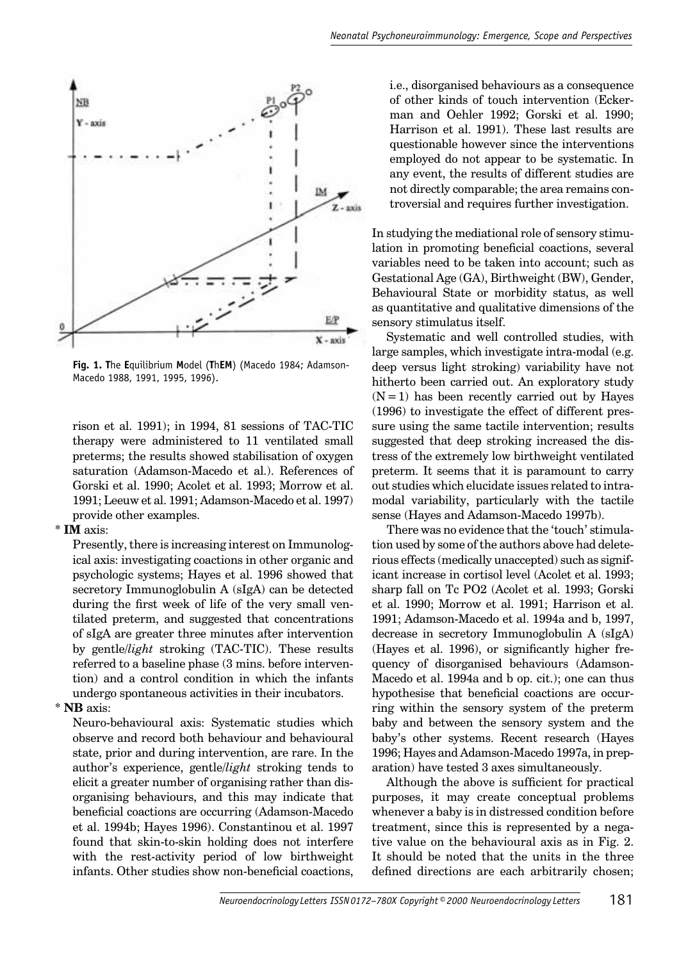

**Fig. 1. T**he **E**quilibrium **M**odel (**T**h**EM**) (Macedo 1984; Adamson-Macedo 1988, 1991, 1995, 1996).

rison et al. 1991); in 1994, 81 sessions of TAC-TIC therapy were administered to 11 ventilated small preterms; the results showed stabilisation of oxygen saturation (Adamson-Macedo et al.). References of Gorski et al. 1990; Acolet et al. 1993; Morrow et al. 1991; Leeuw et al. 1991; Adamson-Macedo et al. 1997) provide other examples.

#### \* **IM** axis:

Presently, there is increasing interest on Immunological axis: investigating coactions in other organic and psychologic systems; Hayes et al. 1996 showed that secretory Immunoglobulin A (sIgA) can be detected during the first week of life of the very small ventilated preterm, and suggested that concentrations of sIgA are greater three minutes after intervention by gentle/*light* stroking (TAC-TIC). These results referred to a baseline phase (3 mins. before intervention) and a control condition in which the infants undergo spontaneous activities in their incubators.

#### \* **NB** axis:

Neuro-behavioural axis: Systematic studies which observe and record both behaviour and behavioural state, prior and during intervention, are rare. In the author's experience, gentle/*light* stroking tends to elicit a greater number of organising rather than disorganising behaviours, and this may indicate that beneficial coactions are occurring (Adamson-Macedo et al. 1994b; Hayes 1996). Constantinou et al. 1997 found that skin-to-skin holding does not interfere with the rest-activity period of low birthweight infants. Other studies show non-beneficial coactions,

i.e., disorganised behaviours as a consequence of other kinds of touch intervention (Eckerman and Oehler 1992; Gorski et al. 1990; Harrison et al. 1991). These last results are questionable however since the interventions employed do not appear to be systematic. In any event, the results of different studies are not directly comparable; the area remains controversial and requires further investigation.

In studying the mediational role of sensory stimulation in promoting beneficial coactions, several variables need to be taken into account; such as Gestational Age (GA), Birthweight (BW), Gender, Behavioural State or morbidity status, as well as quantitative and qualitative dimensions of the sensory stimulatus itself.

Systematic and well controlled studies, with large samples, which investigate intra-modal (e.g. deep versus light stroking) variability have not hitherto been carried out. An exploratory study  $(N = 1)$  has been recently carried out by Hayes (1996) to investigate the effect of different pressure using the same tactile intervention; results suggested that deep stroking increased the distress of the extremely low birthweight ventilated preterm. It seems that it is paramount to carry out studies which elucidate issues related to intramodal variability, particularly with the tactile sense (Hayes and Adamson-Macedo 1997b).

There was no evidence that the 'touch' stimulation used by some of the authors above had deleterious effects (medically unaccepted) such as significant increase in cortisol level (Acolet et al. 1993; sharp fall on Tc PO2 (Acolet et al. 1993; Gorski et al. 1990; Morrow et al. 1991; Harrison et al. 1991; Adamson-Macedo et al. 1994a and b, 1997, decrease in secretory Immunoglobulin A (sIgA)  $(Hayes et al. 1996)$ , or significantly higher frequency of disorganised behaviours (Adamson-Macedo et al. 1994a and b op. cit.); one can thus hypothesise that beneficial coactions are occurring within the sensory system of the preterm baby and between the sensory system and the baby's other systems. Recent research (Hayes 1996; Hayes and Adamson-Macedo 1997a, in preparation) have tested 3 axes simultaneously.

Although the above is sufficient for practical purposes, it may create conceptual problems whenever a baby is in distressed condition before treatment, since this is represented by a negative value on the behavioural axis as in Fig. 2. It should be noted that the units in the three defined directions are each arbitrarily chosen;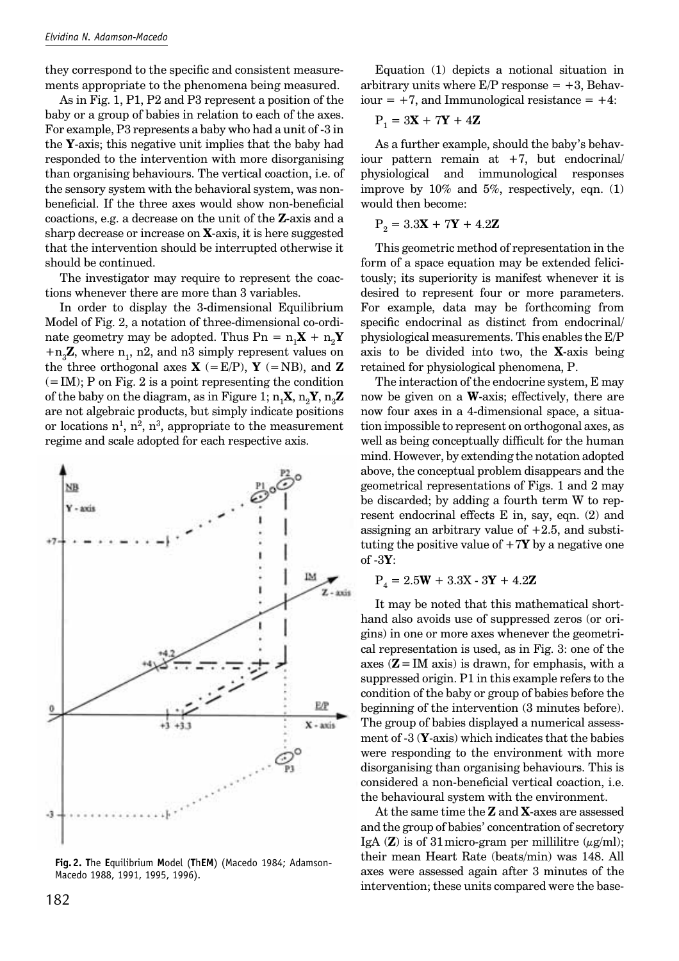they correspond to the specific and consistent measurements appropriate to the phenomena being measured.

As in Fig. 1, P1, P2 and P3 represent a position of the baby or a group of babies in relation to each of the axes. For example, P3 represents a baby who had a unit of -3 in the **Y**-axis; this negative unit implies that the baby had responded to the intervention with more disorganising than organising behaviours. The vertical coaction, i.e. of the sensory system with the behavioral system, was nonbeneficial. If the three axes would show non-beneficial coactions, e.g. a decrease on the unit of the **Z**-axis and a sharp decrease or increase on **X**-axis, it is here suggested that the intervention should be interrupted otherwise it should be continued.

The investigator may require to represent the coactions whenever there are more than 3 variables.

In order to display the 3-dimensional Equilibrium Model of Fig. 2, a notation of three-dimensional co-ordinate geometry may be adopted. Thus  $\text{Pn} = \text{n}_1\textbf{X} + \text{n}_2\textbf{Y}$  $+n_{3}Z$ , where n<sub>1</sub>, n2, and n3 simply represent values on the three orthogonal axes  $X$  (= E/P),  $Y$  (= NB), and **Z**  $(= IM); P$  on Fig. 2 is a point representing the condition of the baby on the diagram, as in Figure 1;  $n_1X, n_2Y, n_3Z$ are not algebraic products, but simply indicate positions or locations  $n^1$ ,  $n^2$ ,  $n^3$ , appropriate to the measurement regime and scale adopted for each respective axis.



**Fig. 2. T**he **E**quilibrium **M**odel (**T**h**EM**) (Macedo 1984; Adamson-Macedo 1988, 1991, 1995, 1996).

Equation (1) depicts a notional situation in arbitrary units where  $E/P$  response =  $+3$ , Behaviour  $= +7$ , and Immunological resistance  $= +4$ :

$$
\mathbf{P}_1 = 3\mathbf{X} + 7\mathbf{Y} + 4\mathbf{Z}
$$

As a further example, should the baby's behaviour pattern remain at  $+7$ , but endocrinal/ physiological and immunological responses improve by  $10\%$  and  $5\%$ , respectively, eqn. (1) would then become:

$$
\mathbf{P}_2 = 3.3\mathbf{X} + 7\mathbf{Y} + 4.2\mathbf{Z}
$$

This geometric method of representation in the form of a space equation may be extended felicitously; its superiority is manifest whenever it is desired to represent four or more parameters. For example, data may be forthcoming from specific endocrinal as distinct from endocrinal/ physiological measurements. This enables the E/P axis to be divided into two, the **X**-axis being retained for physiological phenomena, P.

The interaction of the endocrine system, E may now be given on a **W**-axis; effectively, there are now four axes in a 4-dimensional space, a situation impossible to represent on orthogonal axes, as well as being conceptually difficult for the human mind. However, by extending the notation adopted above, the conceptual problem disappears and the geometrical representations of Figs. 1 and 2 may be discarded; by adding a fourth term W to represent endocrinal effects E in, say, eqn. (2) and assigning an arbitrary value of +2.5, and substituting the positive value of  $+7Y$  by a negative one of -3**Y**:

$$
P_4 = 2.5W + 3.3X - 3Y + 4.2Z
$$

It may be noted that this mathematical shorthand also avoids use of suppressed zeros (or origins) in one or more axes whenever the geometrical representation is used, as in Fig. 3: one of the axes  $(Z = IM \text{ axis})$  is drawn, for emphasis, with a suppressed origin. P1 in this example refers to the condition of the baby or group of babies before the beginning of the intervention (3 minutes before). The group of babies displayed a numerical assessment of -3 (**Y**-axis) which indicates that the babies were responding to the environment with more disorganising than organising behaviours. This is considered a non-beneficial vertical coaction, i.e. the behavioural system with the environment.

At the same time the **Z** and **X**-axes are assessed and the group of babies' concentration of secretory IgA ( $\mathbb{Z}$ ) is of 31 micro-gram per millilitre ( $\mu$ g/ml); their mean Heart Rate (beats/min) was 148. All axes were assessed again after 3 minutes of the intervention; these units compared were the base-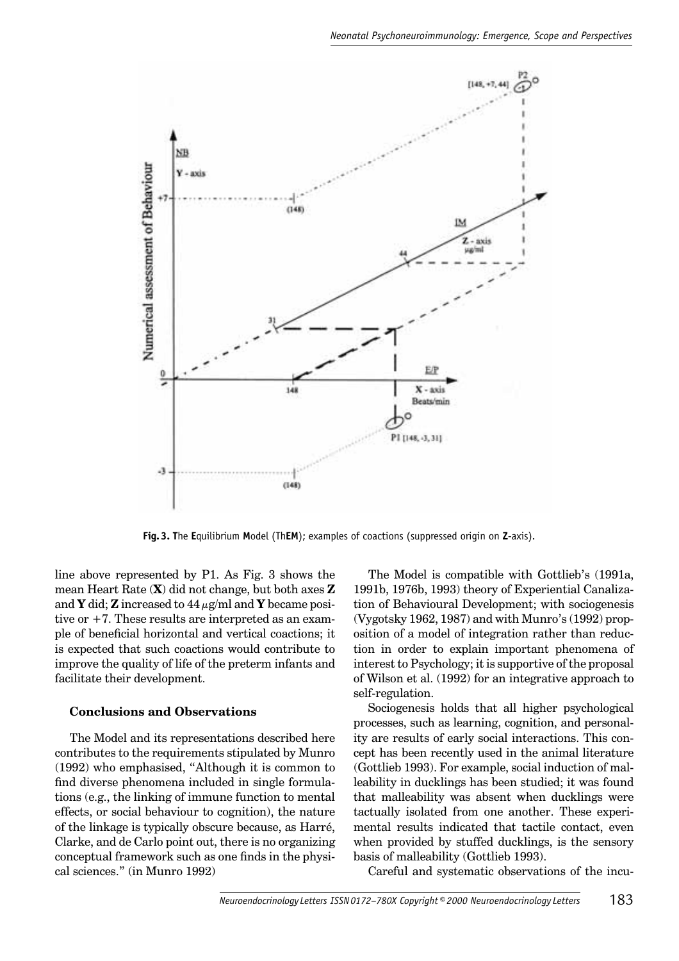

**Fig. 3. T**he **E**quilibrium **M**odel (Th**EM**); examples of coactions (suppressed origin on **Z**-axis).

line above represented by P1. As Fig. 3 shows the mean Heart Rate (**X**) did not change, but both axes **Z** and **Y** did; **Z** increased to  $44 \mu$ g/ml and **Y** became positive or +7. These results are interpreted as an example of beneficial horizontal and vertical coactions; it is expected that such coactions would contribute to improve the quality of life of the preterm infants and facilitate their development.

#### **Conclusions and Observations**

The Model and its representations described here contributes to the requirements stipulated by Munro (1992) who emphasised, "Although it is common to find diverse phenomena included in single formulations (e.g., the linking of immune function to mental effects, or social behaviour to cognition), the nature of the linkage is typically obscure because, as Harré, Clarke, and de Carlo point out, there is no organizing conceptual framework such as one finds in the physical sciences." (in Munro 1992)

The Model is compatible with Gottlieb's (1991a, 1991b, 1976b, 1993) theory of Experiential Canalization of Behavioural Development; with sociogenesis (Vygotsky 1962, 1987) and with Munro's (1992) proposition of a model of integration rather than reduction in order to explain important phenomena of interest to Psychology; it is supportive of the proposal of Wilson et al. (1992) for an integrative approach to self-regulation.

Sociogenesis holds that all higher psychological processes, such as learning, cognition, and personality are results of early social interactions. This concept has been recently used in the animal literature (Gottlieb 1993). For example, social induction of malleability in ducklings has been studied; it was found that malleability was absent when ducklings were tactually isolated from one another. These experimental results indicated that tactile contact, even when provided by stuffed ducklings, is the sensory basis of malleability (Gottlieb 1993).

Careful and systematic observations of the incu-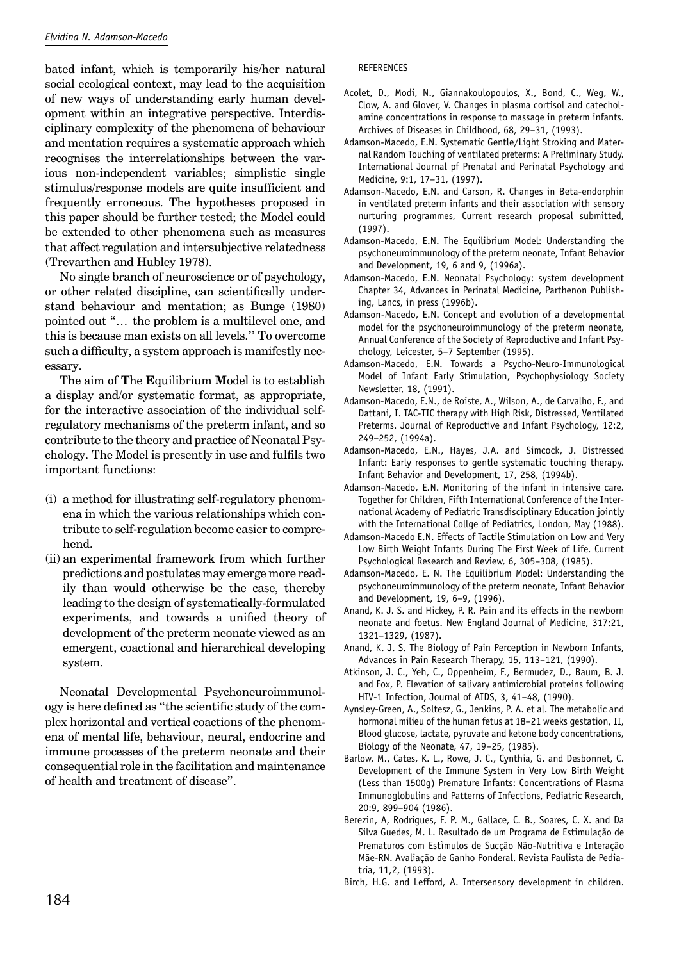bated infant, which is temporarily his/her natural social ecological context, may lead to the acquisition of new ways of understanding early human development within an integrative perspective. Interdisciplinary complexity of the phenomena of behaviour and mentation requires a systematic approach which recognises the interrelationships between the various non-independent variables; simplistic single stimulus/response models are quite insufficient and frequently erroneous. The hypotheses proposed in this paper should be further tested; the Model could be extended to other phenomena such as measures that affect regulation and intersubjective relatedness (Trevarthen and Hubley 1978).

No single branch of neuroscience or of psychology, or other related discipline, can scientifically understand behaviour and mentation; as Bunge (1980) pointed out "… the problem is a multilevel one, and this is because man exists on all levels.'' To overcome such a difficulty, a system approach is manifestly necessary.

The aim of **T**he **E**quilibrium **M**odel is to establish a display and/or systematic format, as appropriate, for the interactive association of the individual selfregulatory mechanisms of the preterm infant, and so contribute to the theory and practice of Neonatal Psychology. The Model is presently in use and fulfils two important functions:

- (i) a method for illustrating self-regulatory phenomena in which the various relationships which contribute to self-regulation become easier to comprehend.
- (ii) an experimental framework from which further predictions and postulates may emerge more readily than would otherwise be the case, thereby leading to the design of systematically-formulated experiments, and towards a unified theory of development of the preterm neonate viewed as an emergent, coactional and hierarchical developing system.

Neonatal Developmental Psychoneuroimmunology is here defined as "the scientific study of the complex horizontal and vertical coactions of the phenomena of mental life, behaviour, neural, endocrine and immune processes of the preterm neonate and their consequential role in the facilitation and maintenance of health and treatment of disease".

#### REFERENCES

- Acolet, D., Modi, N., Giannakoulopoulos, X., Bond, C., Weg, W., Clow, A. and Glover, V. Changes in plasma cortisol and catecholamine concentrations in response to massage in preterm infants. Archives of Diseases in Childhood, 68, 29–31, (1993).
- Adamson-Macedo, E.N. Systematic Gentle/Light Stroking and Maternal Random Touching of ventilated preterms: A Preliminary Study. International Journal pf Prenatal and Perinatal Psychology and Medicine, 9:1, 17–31, (1997).
- Adamson-Macedo, E.N. and Carson, R. Changes in Beta-endorphin in ventilated preterm infants and their association with sensory nurturing programmes, Current research proposal submitted, (1997).
- Adamson-Macedo, E.N. The Equilibrium Model: Understanding the psychoneuroimmunology of the preterm neonate, Infant Behavior and Development, 19, 6 and 9, (1996a).
- Adamson-Macedo, E.N. Neonatal Psychology: system development Chapter 34, Advances in Perinatal Medicine, Parthenon Publishing, Lancs, in press (1996b).
- Adamson-Macedo, E.N. Concept and evolution of a developmental model for the psychoneuroimmunology of the preterm neonate, Annual Conference of the Society of Reproductive and Infant Psychology, Leicester, 5–7 September (1995).
- Adamson-Macedo, E.N. Towards a Psycho-Neuro-Immunological Model of Infant Early Stimulation, Psychophysiology Society Newsletter, 18, (1991).
- Adamson-Macedo, E.N., de Roiste, A., Wilson, A., de Carvalho, F., and Dattani, I. TAC-TIC therapy with High Risk, Distressed, Ventilated Preterms. Journal of Reproductive and Infant Psychology, 12:2, 249–252, (1994a).
- Adamson-Macedo, E.N., Hayes, J.A. and Simcock, J. Distressed Infant: Early responses to gentle systematic touching therapy. Infant Behavior and Development, 17, 258, (1994b).
- Adamson-Macedo, E.N. Monitoring of the infant in intensive care. Together for Children, Fifth International Conference of the International Academy of Pediatric Transdisciplinary Education jointly with the International Collge of Pediatrics, London, May (1988).
- Adamson-Macedo E.N. Effects of Tactile Stimulation on Low and Very Low Birth Weight Infants During The First Week of Life. Current Psychological Research and Review, 6, 305–308, (1985).
- Adamson-Macedo, E. N. The Equilibrium Model: Understanding the psychoneuroimmunology of the preterm neonate, Infant Behavior and Development, 19, 6–9, (1996).
- Anand, K. J. S. and Hickey, P. R. Pain and its effects in the newborn neonate and foetus. New England Journal of Medicine, 317:21, 1321–1329, (1987).
- Anand, K. J. S. The Biology of Pain Perception in Newborn Infants, Advances in Pain Research Therapy, 15, 113–121, (1990).
- Atkinson, J. C., Yeh, C., Oppenheim, F., Bermudez, D., Baum, B. J. and Fox, P. Elevation of salivary antimicrobial proteins following HIV-1 Infection, Journal of AIDS, 3, 41–48, (1990).
- Aynsley-Green, A., Soltesz, G., Jenkins, P. A. et al. The metabolic and hormonal milieu of the human fetus at 18–21 weeks gestation, II, Blood glucose, lactate, pyruvate and ketone body concentrations, Biology of the Neonate, 47, 19–25, (1985).
- Barlow, M., Cates, K. L., Rowe, J. C., Cynthia, G. and Desbonnet, C. Development of the Immune System in Very Low Birth Weight (Less than 1500g) Premature Infants: Concentrations of Plasma Immunoglobulins and Patterns of Infections, Pediatric Research, 20:9, 899–904 (1986).
- Berezin, A, Rodrigues, F. P. M., Gallace, C. B., Soares, C. X. and Da Silva Guedes, M. L. Resultado de um Programa de Estimulação de Prematuros com Estìmulos de Sucção Não-Nutritiva e Interação Mãe-RN. Avaliação de Ganho Ponderal. Revista Paulista de Pediatria, 11,2, (1993).
- Birch, H.G. and Lefford, A. Intersensory development in children.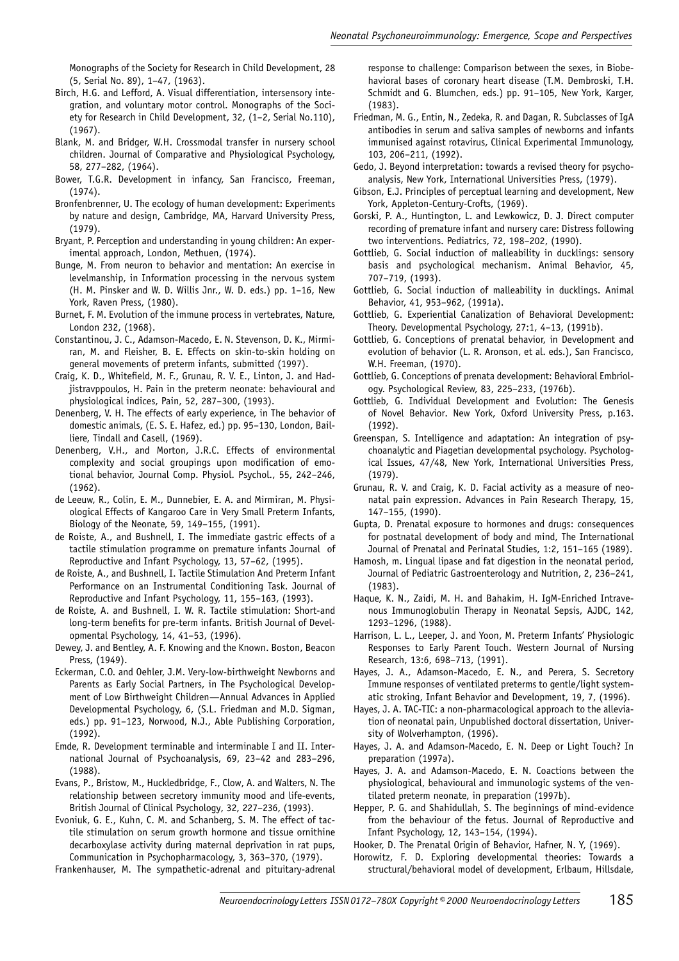Monographs of the Society for Research in Child Development, 28 (5, Serial No. 89), 1–47, (1963).

- Birch, H.G. and Lefford, A. Visual differentiation, intersensory integration, and voluntary motor control. Monographs of the Society for Research in Child Development, 32, (1–2, Serial No.110), (1967).
- Blank, M. and Bridger, W.H. Crossmodal transfer in nursery school children. Journal of Comparative and Physiological Psychology, 58, 277–282, (1964).
- Bower, T.G.R. Development in infancy, San Francisco, Freeman, (1974).
- Bronfenbrenner, U. The ecology of human development: Experiments by nature and design, Cambridge, MA, Harvard University Press, (1979).
- Bryant, P. Perception and understanding in young children: An experimental approach, London, Methuen, (1974).
- Bunge, M. From neuron to behavior and mentation: An exercise in levelmanship, in Information processing in the nervous system (H. M. Pinsker and W. D. Willis Jnr., W. D. eds.) pp. 1–16, New York, Raven Press, (1980).
- Burnet, F. M. Evolution of the immune process in vertebrates, Nature, London 232, (1968).
- Constantinou, J. C., Adamson-Macedo, E. N. Stevenson, D. K., Mirmiran, M. and Fleisher, B. E. Effects on skin-to-skin holding on general movements of preterm infants, submitted (1997).
- Craig, K. D., Whitefield, M. F., Grunau, R. V. E., Linton, J. and Hadjistravppoulos, H. Pain in the preterm neonate: behavioural and physiological indices, Pain, 52, 287–300, (1993).
- Denenberg, V. H. The effects of early experience, in The behavior of domestic animals, (E. S. E. Hafez, ed.) pp. 95–130, London, Bailliere, Tindall and Casell, (1969).
- Denenberg, V.H., and Morton, J.R.C. Effects of environmental complexity and social groupings upon modification of emotional behavior, Journal Comp. Physiol. Psychol., 55, 242–246, (1962).
- de Leeuw, R., Colin, E. M., Dunnebier, E. A. and Mirmiran, M. Physiological Effects of Kangaroo Care in Very Small Preterm Infants, Biology of the Neonate, 59, 149–155, (1991).
- de Roiste, A., and Bushnell, I. The immediate gastric effects of a tactile stimulation programme on premature infants Journal of Reproductive and Infant Psychology, 13, 57–62, (1995).
- de Roiste, A., and Bushnell, I. Tactile Stimulation And Preterm Infant Performance on an Instrumental Conditioning Task. Journal of Reproductive and Infant Psychology, 11, 155–163, (1993).
- de Roiste, A. and Bushnell, I. W. R. Tactile stimulation: Short-and long-term benefits for pre-term infants. British Journal of Developmental Psychology, 14, 41–53, (1996).
- Dewey, J. and Bentley, A. F. Knowing and the Known. Boston, Beacon Press, (1949).
- Eckerman, C.O. and Oehler, J.M. Very-low-birthweight Newborns and Parents as Early Social Partners, in The Psychological Development of Low Birthweight Children—Annual Advances in Applied Developmental Psychology, 6, (S.L. Friedman and M.D. Sigman, eds.) pp. 91–123, Norwood, N.J., Able Publishing Corporation, (1992).
- Emde, R. Development terminable and interminable I and II. International Journal of Psychoanalysis, 69, 23–42 and 283–296, (1988).
- Evans, P., Bristow, M., Huckledbridge, F., Clow, A. and Walters, N. The relationship between secretory immunity mood and life-events, British Journal of Clinical Psychology, 32, 227–236, (1993).
- Evoniuk, G. E., Kuhn, C. M. and Schanberg, S. M. The effect of tactile stimulation on serum growth hormone and tissue ornithine decarboxylase activity during maternal deprivation in rat pups, Communication in Psychopharmacology, 3, 363–370, (1979).
- Frankenhauser, M. The sympathetic-adrenal and pituitary-adrenal

response to challenge: Comparison between the sexes, in Biobehavioral bases of coronary heart disease (T.M. Dembroski, T.H. Schmidt and G. Blumchen, eds.) pp. 91–105, New York, Karger, (1983).

- Friedman, M. G., Entin, N., Zedeka, R. and Dagan, R. Subclasses of IgA antibodies in serum and saliva samples of newborns and infants immunised against rotavirus, Clinical Experimental Immunology, 103, 206–211, (1992).
- Gedo, J. Beyond interpretation: towards a revised theory for psychoanalysis, New York, International Universities Press, (1979).
- Gibson, E.J. Principles of perceptual learning and development, New York, Appleton-Century-Crofts, (1969).
- Gorski, P. A., Huntington, L. and Lewkowicz, D. J. Direct computer recording of premature infant and nursery care: Distress following two interventions. Pediatrics, 72, 198–202, (1990).
- Gottlieb, G. Social induction of malleability in ducklings: sensory basis and psychological mechanism. Animal Behavior, 45, 707–719, (1993).
- Gottlieb, G. Social induction of malleability in ducklings. Animal Behavior, 41, 953–962, (1991a).
- Gottlieb, G. Experiential Canalization of Behavioral Development: Theory. Developmental Psychology, 27:1, 4–13, (1991b).
- Gottlieb, G. Conceptions of prenatal behavior, in Development and evolution of behavior (L. R. Aronson, et al. eds.), San Francisco, W.H. Freeman, (1970).
- Gottlieb, G. Conceptions of prenata development: Behavioral Embriology. Psychological Review, 83, 225–233, (1976b).
- Gottlieb, G. Individual Development and Evolution: The Genesis of Novel Behavior. New York, Oxford University Press, p.163. (1992).
- Greenspan, S. Intelligence and adaptation: An integration of psychoanalytic and Piagetian developmental psychology. Psychological Issues, 47/48, New York, International Universities Press, (1979).
- Grunau, R. V. and Craig, K. D. Facial activity as a measure of neonatal pain expression. Advances in Pain Research Therapy, 15, 147–155, (1990).
- Gupta, D. Prenatal exposure to hormones and drugs: consequences for postnatal development of body and mind, The International Journal of Prenatal and Perinatal Studies, 1:2, 151–165 (1989).
- Hamosh, m. Lingual lipase and fat digestion in the neonatal period, Journal of Pediatric Gastroenterology and Nutrition, 2, 236–241, (1983).
- Haque, K. N., Zaidi, M. H. and Bahakim, H. IgM-Enriched Intravenous Immunoglobulin Therapy in Neonatal Sepsis, AJDC, 142, 1293–1296, (1988).
- Harrison, L. L., Leeper, J. and Yoon, M. Preterm Infants' Physiologic Responses to Early Parent Touch. Western Journal of Nursing Research, 13:6, 698–713, (1991).
- Hayes, J. A., Adamson-Macedo, E. N., and Perera, S. Secretory Immune responses of ventilated preterms to gentle/light systematic stroking, Infant Behavior and Development, 19, 7, (1996).
- Hayes, J. A. TAC-TIC: a non-pharmacological approach to the alleviation of neonatal pain, Unpublished doctoral dissertation, University of Wolverhampton, (1996).
- Hayes, J. A. and Adamson-Macedo, E. N. Deep or Light Touch? In preparation (1997a).
- Hayes, J. A. and Adamson-Macedo, E. N. Coactions between the physiological, behavioural and immunologic systems of the ventilated preterm neonate, in preparation (1997b).
- Hepper, P. G. and Shahidullah, S. The beginnings of mind-evidence from the behaviour of the fetus. Journal of Reproductive and Infant Psychology, 12, 143–154, (1994).
- Hooker, D. The Prenatal Origin of Behavior, Hafner, N. Y, (1969).
- Horowitz, F. D. Exploring developmental theories: Towards a structural/behavioral model of development, Erlbaum, Hillsdale,